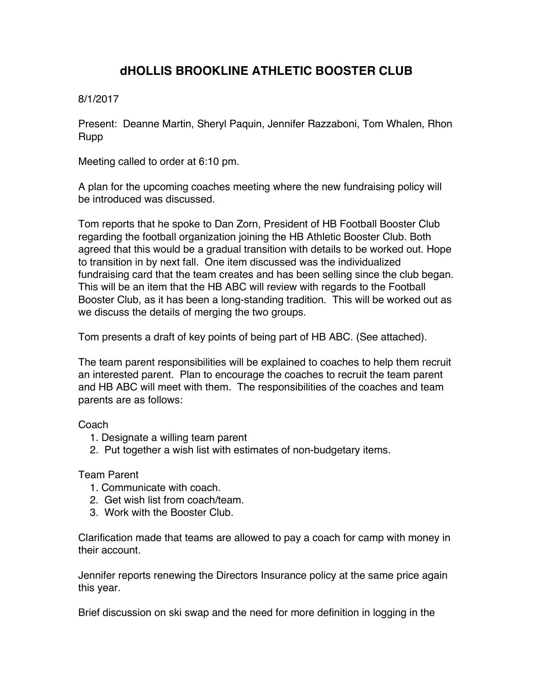## **dHOLLIS BROOKLINE ATHLETIC BOOSTER CLUB**

## 8/1/2017

Present: Deanne Martin, Sheryl Paquin, Jennifer Razzaboni, Tom Whalen, Rhon Rupp

Meeting called to order at 6:10 pm.

A plan for the upcoming coaches meeting where the new fundraising policy will be introduced was discussed.

Tom reports that he spoke to Dan Zorn, President of HB Football Booster Club regarding the football organization joining the HB Athletic Booster Club. Both agreed that this would be a gradual transition with details to be worked out. Hope to transition in by next fall. One item discussed was the individualized fundraising card that the team creates and has been selling since the club began. This will be an item that the HB ABC will review with regards to the Football Booster Club, as it has been a long-standing tradition. This will be worked out as we discuss the details of merging the two groups.

Tom presents a draft of key points of being part of HB ABC. (See attached).

The team parent responsibilities will be explained to coaches to help them recruit an interested parent. Plan to encourage the coaches to recruit the team parent and HB ABC will meet with them. The responsibilities of the coaches and team parents are as follows:

## Coach

- 1. Designate a willing team parent
- 2. Put together a wish list with estimates of non-budgetary items.

## Team Parent

- 1. Communicate with coach.
- 2. Get wish list from coach/team.
- 3. Work with the Booster Club.

Clarification made that teams are allowed to pay a coach for camp with money in their account.

Jennifer reports renewing the Directors Insurance policy at the same price again this year.

Brief discussion on ski swap and the need for more definition in logging in the